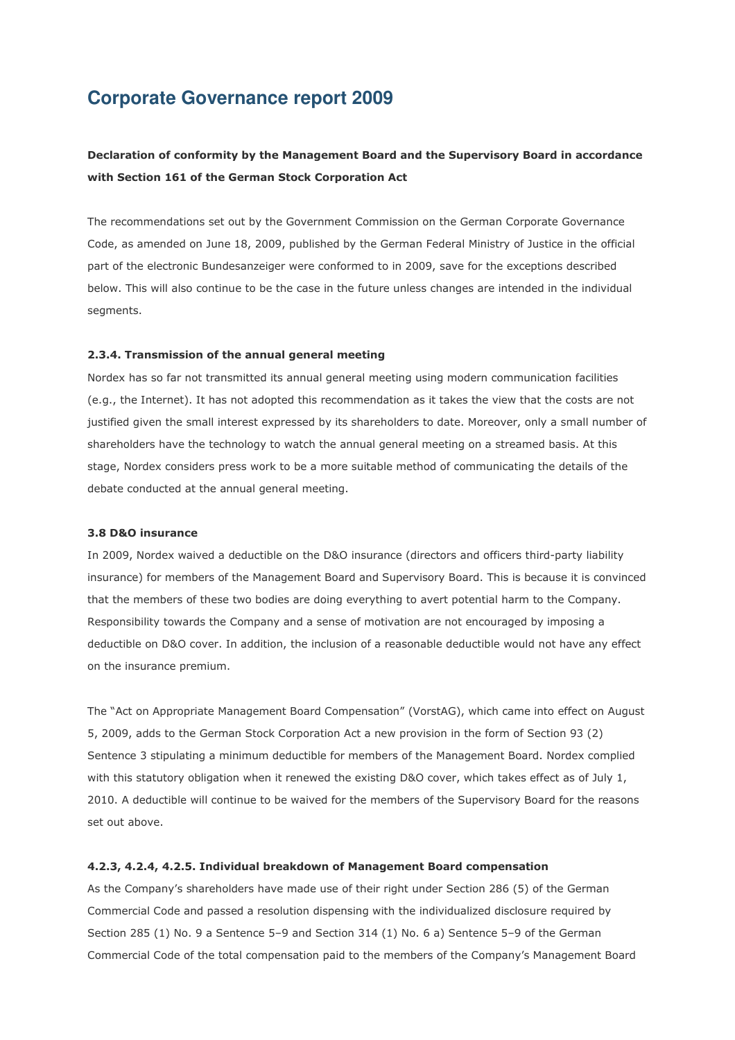# **Corporate Governance report 2009**

# **Declaration of conformity by the Management Board and the Supervisory Board in accordance with Section 161 of the German Stock Corporation Act**

The recommendations set out by the Government Commission on the German Corporate Governance Code, as amended on June 18, 2009, published by the German Federal Ministry of Justice in the official part of the electronic Bundesanzeiger were conformed to in 2009, save for the exceptions described below. This will also continue to be the case in the future unless changes are intended in the individual segments.

#### **2.3.4. Transmission of the annual general meeting**

Nordex has so far not transmitted its annual general meeting using modern communication facilities (e.g., the Internet). It has not adopted this recommendation as it takes the view that the costs are not justified given the small interest expressed by its shareholders to date. Moreover, only a small number of shareholders have the technology to watch the annual general meeting on a streamed basis. At this stage, Nordex considers press work to be a more suitable method of communicating the details of the debate conducted at the annual general meeting.

#### **3.8 D&O insurance**

In 2009, Nordex waived a deductible on the D&O insurance (directors and officers third-party liability insurance) for members of the Management Board and Supervisory Board. This is because it is convinced that the members of these two bodies are doing everything to avert potential harm to the Company. Responsibility towards the Company and a sense of motivation are not encouraged by imposing a deductible on D&O cover. In addition, the inclusion of a reasonable deductible would not have any effect on the insurance premium.

The "Act on Appropriate Management Board Compensation" (VorstAG), which came into effect on August 5, 2009, adds to the German Stock Corporation Act a new provision in the form of Section 93 (2) Sentence 3 stipulating a minimum deductible for members of the Management Board. Nordex complied with this statutory obligation when it renewed the existing D&O cover, which takes effect as of July 1, 2010. A deductible will continue to be waived for the members of the Supervisory Board for the reasons set out above.

# **4.2.3, 4.2.4, 4.2.5. Individual breakdown of Management Board compensation**

As the Company's shareholders have made use of their right under Section 286 (5) of the German Commercial Code and passed a resolution dispensing with the individualized disclosure required by Section 285 (1) No. 9 a Sentence 5–9 and Section 314 (1) No. 6 a) Sentence 5–9 of the German Commercial Code of the total compensation paid to the members of the Company's Management Board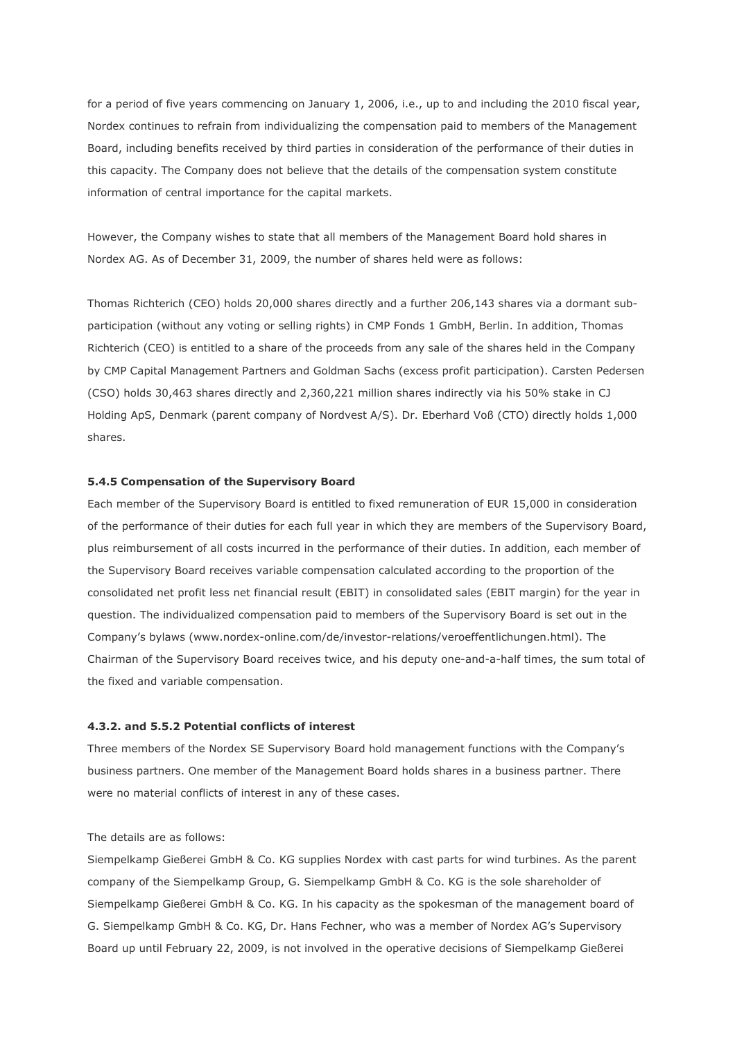for a period of five years commencing on January 1, 2006, i.e., up to and including the 2010 fiscal year, Nordex continues to refrain from individualizing the compensation paid to members of the Management Board, including benefits received by third parties in consideration of the performance of their duties in this capacity. The Company does not believe that the details of the compensation system constitute information of central importance for the capital markets.

However, the Company wishes to state that all members of the Management Board hold shares in Nordex AG. As of December 31, 2009, the number of shares held were as follows:

Thomas Richterich (CEO) holds 20,000 shares directly and a further 206,143 shares via a dormant subparticipation (without any voting or selling rights) in CMP Fonds 1 GmbH, Berlin. In addition, Thomas Richterich (CEO) is entitled to a share of the proceeds from any sale of the shares held in the Company by CMP Capital Management Partners and Goldman Sachs (excess profit participation). Carsten Pedersen (CSO) holds 30,463 shares directly and 2,360,221 million shares indirectly via his 50% stake in CJ Holding ApS, Denmark (parent company of Nordvest A/S). Dr. Eberhard Voß (CTO) directly holds 1,000 shares.

#### **5.4.5 Compensation of the Supervisory Board**

Each member of the Supervisory Board is entitled to fixed remuneration of EUR 15,000 in consideration of the performance of their duties for each full year in which they are members of the Supervisory Board, plus reimbursement of all costs incurred in the performance of their duties. In addition, each member of the Supervisory Board receives variable compensation calculated according to the proportion of the consolidated net profit less net financial result (EBIT) in consolidated sales (EBIT margin) for the year in question. The individualized compensation paid to members of the Supervisory Board is set out in the Company's bylaws (www.nordex-online.com/de/investor-relations/veroeffentlichungen.html). The Chairman of the Supervisory Board receives twice, and his deputy one-and-a-half times, the sum total of the fixed and variable compensation.

#### **4.3.2. and 5.5.2 Potential conflicts of interest**

Three members of the Nordex SE Supervisory Board hold management functions with the Company's business partners. One member of the Management Board holds shares in a business partner. There were no material conflicts of interest in any of these cases.

# The details are as follows:

Siempelkamp Gießerei GmbH & Co. KG supplies Nordex with cast parts for wind turbines. As the parent company of the Siempelkamp Group, G. Siempelkamp GmbH & Co. KG is the sole shareholder of Siempelkamp Gießerei GmbH & Co. KG. In his capacity as the spokesman of the management board of G. Siempelkamp GmbH & Co. KG, Dr. Hans Fechner, who was a member of Nordex AG's Supervisory Board up until February 22, 2009, is not involved in the operative decisions of Siempelkamp Gießerei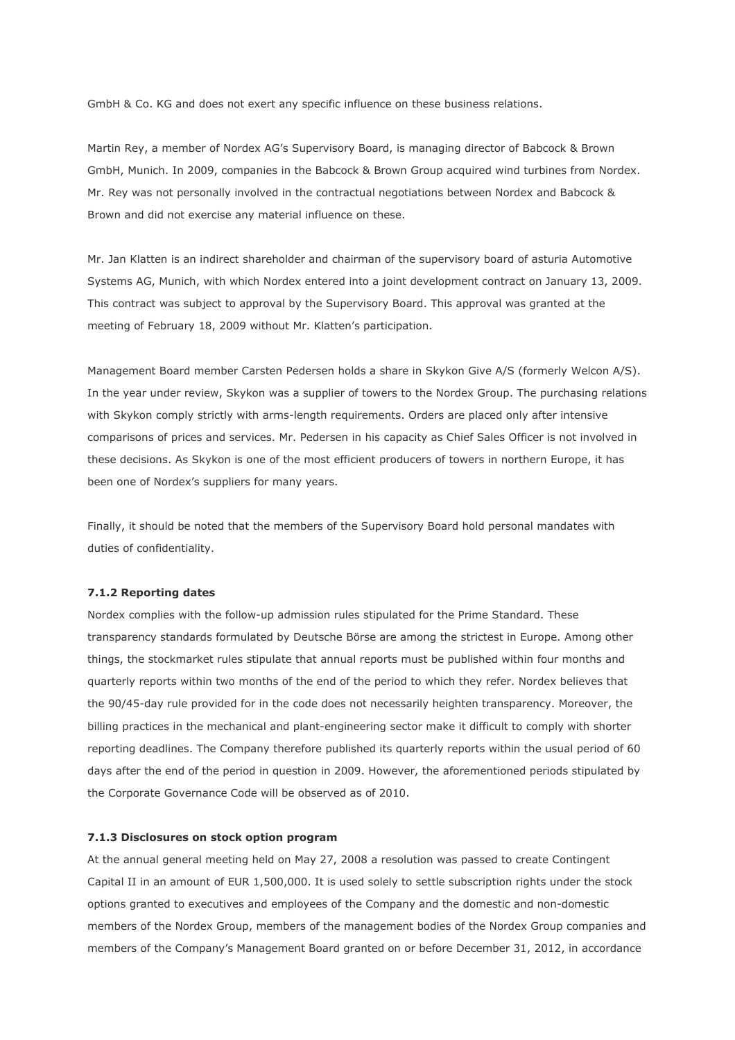GmbH & Co. KG and does not exert any specific influence on these business relations.

Martin Rey, a member of Nordex AG's Supervisory Board, is managing director of Babcock & Brown GmbH, Munich. In 2009, companies in the Babcock & Brown Group acquired wind turbines from Nordex. Mr. Rey was not personally involved in the contractual negotiations between Nordex and Babcock & Brown and did not exercise any material influence on these.

Mr. Jan Klatten is an indirect shareholder and chairman of the supervisory board of asturia Automotive Systems AG, Munich, with which Nordex entered into a joint development contract on January 13, 2009. This contract was subject to approval by the Supervisory Board. This approval was granted at the meeting of February 18, 2009 without Mr. Klatten's participation.

Management Board member Carsten Pedersen holds a share in Skykon Give A/S (formerly Welcon A/S). In the year under review, Skykon was a supplier of towers to the Nordex Group. The purchasing relations with Skykon comply strictly with arms-length requirements. Orders are placed only after intensive comparisons of prices and services. Mr. Pedersen in his capacity as Chief Sales Officer is not involved in these decisions. As Skykon is one of the most efficient producers of towers in northern Europe, it has been one of Nordex's suppliers for many years.

Finally, it should be noted that the members of the Supervisory Board hold personal mandates with duties of confidentiality.

## **7.1.2 Reporting dates**

Nordex complies with the follow-up admission rules stipulated for the Prime Standard. These transparency standards formulated by Deutsche Börse are among the strictest in Europe. Among other things, the stockmarket rules stipulate that annual reports must be published within four months and quarterly reports within two months of the end of the period to which they refer. Nordex believes that the 90/45-day rule provided for in the code does not necessarily heighten transparency. Moreover, the billing practices in the mechanical and plant-engineering sector make it difficult to comply with shorter reporting deadlines. The Company therefore published its quarterly reports within the usual period of 60 days after the end of the period in question in 2009. However, the aforementioned periods stipulated by the Corporate Governance Code will be observed as of 2010.

#### **7.1.3 Disclosures on stock option program**

At the annual general meeting held on May 27, 2008 a resolution was passed to create Contingent Capital II in an amount of EUR 1,500,000. It is used solely to settle subscription rights under the stock options granted to executives and employees of the Company and the domestic and non-domestic members of the Nordex Group, members of the management bodies of the Nordex Group companies and members of the Company's Management Board granted on or before December 31, 2012, in accordance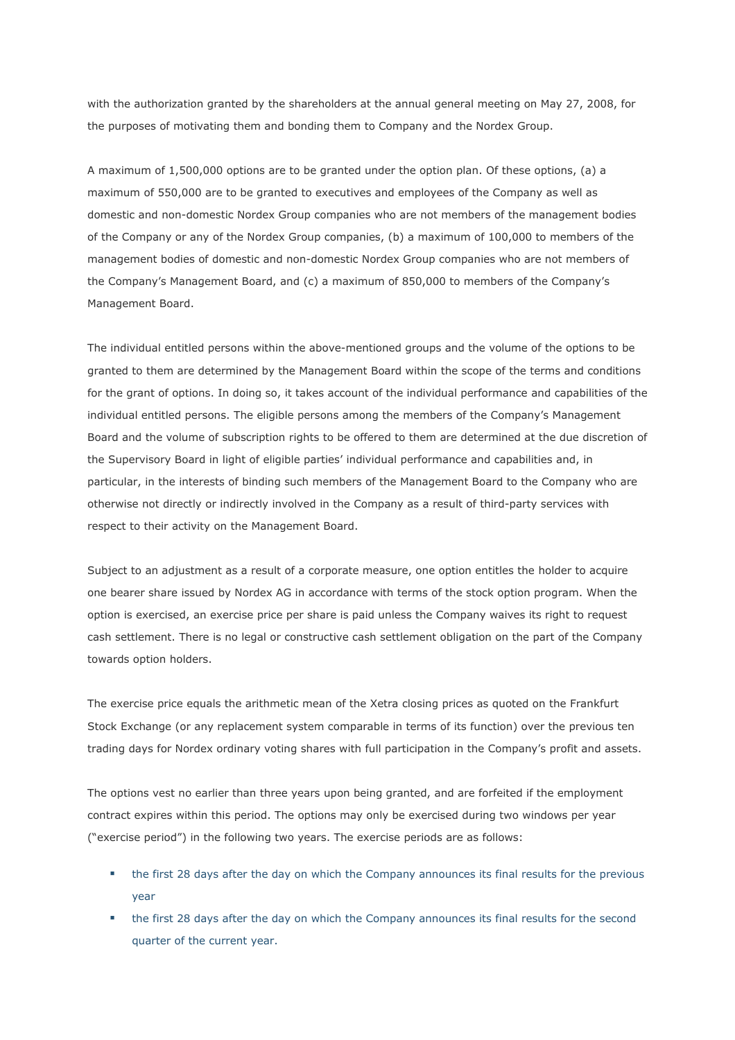with the authorization granted by the shareholders at the annual general meeting on May 27, 2008, for the purposes of motivating them and bonding them to Company and the Nordex Group.

A maximum of 1,500,000 options are to be granted under the option plan. Of these options, (a) a maximum of 550,000 are to be granted to executives and employees of the Company as well as domestic and non-domestic Nordex Group companies who are not members of the management bodies of the Company or any of the Nordex Group companies, (b) a maximum of 100,000 to members of the management bodies of domestic and non-domestic Nordex Group companies who are not members of the Company's Management Board, and (c) a maximum of 850,000 to members of the Company's Management Board.

The individual entitled persons within the above-mentioned groups and the volume of the options to be granted to them are determined by the Management Board within the scope of the terms and conditions for the grant of options. In doing so, it takes account of the individual performance and capabilities of the individual entitled persons. The eligible persons among the members of the Company's Management Board and the volume of subscription rights to be offered to them are determined at the due discretion of the Supervisory Board in light of eligible parties' individual performance and capabilities and, in particular, in the interests of binding such members of the Management Board to the Company who are otherwise not directly or indirectly involved in the Company as a result of third-party services with respect to their activity on the Management Board.

Subject to an adjustment as a result of a corporate measure, one option entitles the holder to acquire one bearer share issued by Nordex AG in accordance with terms of the stock option program. When the option is exercised, an exercise price per share is paid unless the Company waives its right to request cash settlement. There is no legal or constructive cash settlement obligation on the part of the Company towards option holders.

The exercise price equals the arithmetic mean of the Xetra closing prices as quoted on the Frankfurt Stock Exchange (or any replacement system comparable in terms of its function) over the previous ten trading days for Nordex ordinary voting shares with full participation in the Company's profit and assets.

The options vest no earlier than three years upon being granted, and are forfeited if the employment contract expires within this period. The options may only be exercised during two windows per year ("exercise period") in the following two years. The exercise periods are as follows:

- the first 28 days after the day on which the Company announces its final results for the previous year
- the first 28 days after the day on which the Company announces its final results for the second quarter of the current year.